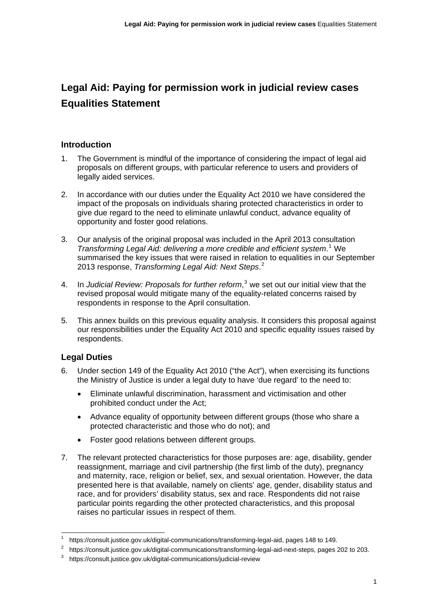# **Legal Aid: Paying for permission work in judicial review cases Equalities Statement**

# **Introduction**

- 1. The Government is mindful of the importance of considering the impact of legal aid proposals on different groups, with particular reference to users and providers of legally aided services.
- 2. In accordance with our duties under the Equality Act 2010 we have considered the impact of the proposals on individuals sharing protected characteristics in order to give due regard to the need to eliminate unlawful conduct, advance equality of opportunity and foster good relations.
- 3. Our analysis of the original proposal was included in the April 2013 consultation *Transforming Legal Aid: delivering a more credible and efficient system*. [1](#page-0-0) We summarised the key issues that were raised in relation to equalities in our September 2013 response, *Transforming Legal Aid: Next Steps*. [2](#page-0-1)
- 4. In Judicial Review: Proposals for further reform,<sup>[3](#page-0-2)</sup> we set out our initial view that the revised proposal would mitigate many of the equality-related concerns raised by respondents in response to the April consultation.
- 5. This annex builds on this previous equality analysis. It considers this proposal against our responsibilities under the Equality Act 2010 and specific equality issues raised by respondents.

# **Legal Duties**

1

- 6. Under section 149 of the Equality Act 2010 ("the Act"), when exercising its functions the Ministry of Justice is under a legal duty to have 'due regard' to the need to:
	- Eliminate unlawful discrimination, harassment and victimisation and other prohibited conduct under the Act;
	- Advance equality of opportunity between different groups (those who share a protected characteristic and those who do not); and
	- Foster good relations between different groups.
- 7. The relevant protected characteristics for those purposes are: age, disability, gender reassignment, marriage and civil partnership (the first limb of the duty), pregnancy and maternity, race, religion or belief, sex, and sexual orientation. However, the data presented here is that available, namely on clients' age, gender, disability status and race, and for providers' disability status, sex and race. Respondents did not raise particular points regarding the other protected characteristics, and this proposal raises no particular issues in respect of them.

<span id="page-0-1"></span><span id="page-0-0"></span>

<https://consult.justice.gov.uk/digital-communications/transforming-legal-aid>, pages 148 to 149.<br>[https://consult.justice.gov.uk/digital-communications/transforming-legal-aid-next-steps,](https://consult.justice.gov.uk/digital-communications/transforming-legal-aid-next-steps) pages 202 to 203.<br>https://consult.jus

<span id="page-0-2"></span>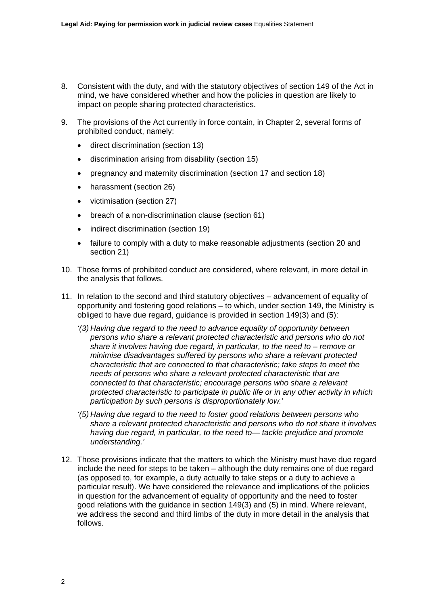- 8. Consistent with the duty, and with the statutory objectives of section 149 of the Act in mind, we have considered whether and how the policies in question are likely to impact on people sharing protected characteristics.
- 9. The provisions of the Act currently in force contain, in Chapter 2, several forms of prohibited conduct, namely:
	- direct discrimination (section 13)
	- discrimination arising from disability (section 15)
	- pregnancy and maternity discrimination (section 17 and section 18)
	- harassment (section 26)
	- victimisation (section 27)
	- breach of a non-discrimination clause (section 61)
	- indirect discrimination (section 19)
	- failure to comply with a duty to make reasonable adjustments (section 20 and section 21)
- 10. Those forms of prohibited conduct are considered, where relevant, in more detail in the analysis that follows.
- 11. In relation to the second and third statutory objectives advancement of equality of opportunity and fostering good relations – to which, under section 149, the Ministry is obliged to have due regard, guidance is provided in section 149(3) and (5):
	- *'(3) Having due regard to the need to advance equality of opportunity between persons who share a relevant protected characteristic and persons who do not share it involves having due regard, in particular, to the need to – remove or minimise disadvantages suffered by persons who share a relevant protected characteristic that are connected to that characteristic; take steps to meet the needs of persons who share a relevant protected characteristic that are connected to that characteristic; encourage persons who share a relevant protected characteristic to participate in public life or in any other activity in which participation by such persons is disproportionately low.'*
	- *'(5) Having due regard to the need to foster good relations between persons who share a relevant protected characteristic and persons who do not share it involves having due regard, in particular, to the need to— tackle prejudice and promote understanding.'*
- 12. Those provisions indicate that the matters to which the Ministry must have due regard include the need for steps to be taken – although the duty remains one of due regard (as opposed to, for example, a duty actually to take steps or a duty to achieve a particular result). We have considered the relevance and implications of the policies in question for the advancement of equality of opportunity and the need to foster good relations with the guidance in section 149(3) and (5) in mind. Where relevant, we address the second and third limbs of the duty in more detail in the analysis that follows.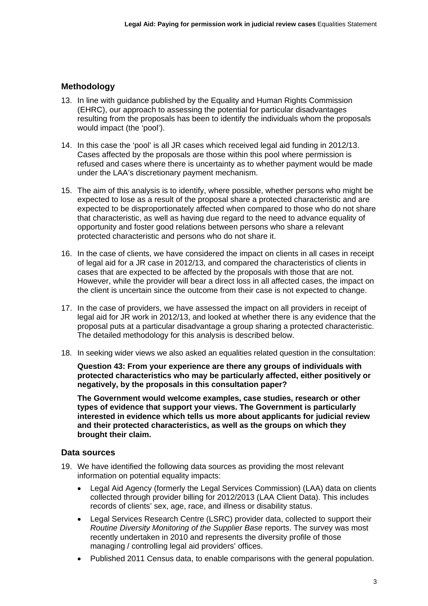## **Methodology**

- 13. In line with guidance published by the Equality and Human Rights Commission (EHRC), our approach to assessing the potential for particular disadvantages resulting from the proposals has been to identify the individuals whom the proposals would impact (the 'pool').
- 14. In this case the 'pool' is all JR cases which received legal aid funding in 2012/13. Cases affected by the proposals are those within this pool where permission is refused and cases where there is uncertainty as to whether payment would be made under the LAA's discretionary payment mechanism.
- 15. The aim of this analysis is to identify, where possible, whether persons who might be expected to lose as a result of the proposal share a protected characteristic and are expected to be disproportionately affected when compared to those who do not share that characteristic, as well as having due regard to the need to advance equality of opportunity and foster good relations between persons who share a relevant protected characteristic and persons who do not share it.
- 16. In the case of clients, we have considered the impact on clients in all cases in receipt of legal aid for a JR case in 2012/13, and compared the characteristics of clients in cases that are expected to be affected by the proposals with those that are not. However, while the provider will bear a direct loss in all affected cases, the impact on the client is uncertain since the outcome from their case is not expected to change.
- 17. In the case of providers, we have assessed the impact on all providers in receipt of legal aid for JR work in 2012/13, and looked at whether there is any evidence that the proposal puts at a particular disadvantage a group sharing a protected characteristic. The detailed methodology for this analysis is described below.
- 18. In seeking wider views we also asked an equalities related question in the consultation:

**Question 43: From your experience are there any groups of individuals with protected characteristics who may be particularly affected, either positively or negatively, by the proposals in this consultation paper?** 

**The Government would welcome examples, case studies, research or other types of evidence that support your views. The Government is particularly interested in evidence which tells us more about applicants for judicial review and their protected characteristics, as well as the groups on which they brought their claim.** 

## **Data sources**

- 19. We have identified the following data sources as providing the most relevant information on potential equality impacts:
	- Legal Aid Agency (formerly the Legal Services Commission) (LAA) data on clients collected through provider billing for 2012/2013 (LAA Client Data). This includes records of clients' sex, age, race, and illness or disability status.
	- Legal Services Research Centre (LSRC) provider data, collected to support their *Routine Diversity Monitoring of the Supplier Base* reports. The survey was most recently undertaken in 2010 and represents the diversity profile of those managing / controlling legal aid providers' offices.
	- Published 2011 Census data, to enable comparisons with the general population.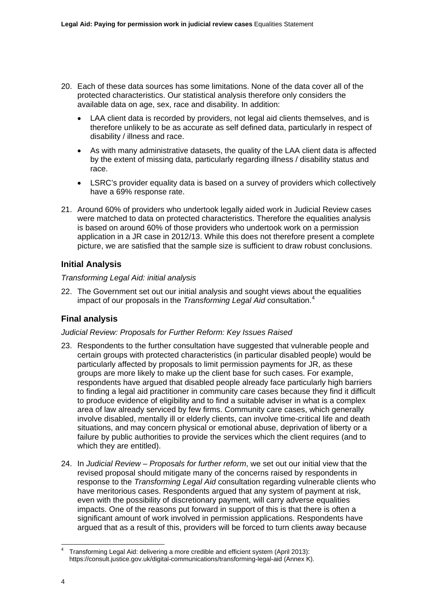- 20. Each of these data sources has some limitations. None of the data cover all of the protected characteristics. Our statistical analysis therefore only considers the available data on age, sex, race and disability. In addition:
	- LAA client data is recorded by providers, not legal aid clients themselves, and is therefore unlikely to be as accurate as self defined data, particularly in respect of disability / illness and race.
	- As with many administrative datasets, the quality of the LAA client data is affected by the extent of missing data, particularly regarding illness / disability status and race.
	- LSRC's provider equality data is based on a survey of providers which collectively have a 69% response rate.
- 21. Around 60% of providers who undertook legally aided work in Judicial Review cases were matched to data on protected characteristics. Therefore the equalities analysis is based on around 60% of those providers who undertook work on a permission application in a JR case in 2012/13. While this does not therefore present a complete picture, we are satisfied that the sample size is sufficient to draw robust conclusions.

# **Initial Analysis**

## *Transforming Legal Aid: initial analysis*

22. The Government set out our initial analysis and sought views about the equalities impact of our proposals in the *Transforming Legal Aid* consultation.[4](#page-3-0)

# **Final analysis**

## *Judicial Review: Proposals for Further Reform: Key Issues Raised*

- 23. Respondents to the further consultation have suggested that vulnerable people and certain groups with protected characteristics (in particular disabled people) would be particularly affected by proposals to limit permission payments for JR, as these groups are more likely to make up the client base for such cases. For example, respondents have argued that disabled people already face particularly high barriers to finding a legal aid practitioner in community care cases because they find it difficult to produce evidence of eligibility and to find a suitable adviser in what is a complex area of law already serviced by few firms. Community care cases, which generally involve disabled, mentally ill or elderly clients, can involve time-critical life and death situations, and may concern physical or emotional abuse, deprivation of liberty or a failure by public authorities to provide the services which the client requires (and to which they are entitled).
- 24. In *Judicial Review Proposals for further reform*, we set out our initial view that the revised proposal should mitigate many of the concerns raised by respondents in response to the *Transforming Legal Aid* consultation regarding vulnerable clients who have meritorious cases. Respondents argued that any system of payment at risk, even with the possibility of discretionary payment, will carry adverse equalities impacts. One of the reasons put forward in support of this is that there is often a significant amount of work involved in permission applications. Respondents have argued that as a result of this, providers will be forced to turn clients away because

<span id="page-3-0"></span><sup>-</sup>4 Transforming Legal Aid: delivering a more credible and efficient system (April 2013): <https://consult.justice.gov.uk/digital-communications/transforming-legal-aid> (Annex K).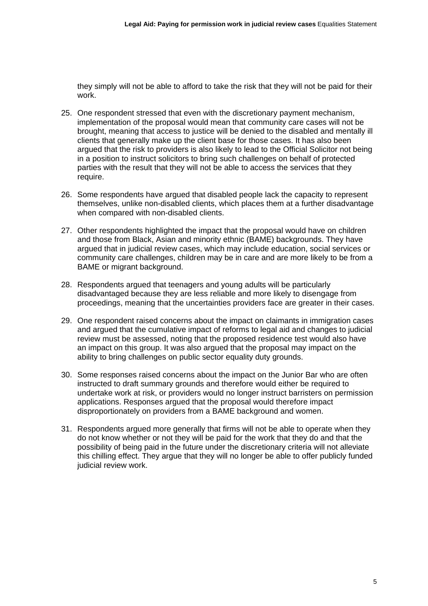they simply will not be able to afford to take the risk that they will not be paid for their work.

- 25. One respondent stressed that even with the discretionary payment mechanism, implementation of the proposal would mean that community care cases will not be brought, meaning that access to justice will be denied to the disabled and mentally ill clients that generally make up the client base for those cases. It has also been argued that the risk to providers is also likely to lead to the Official Solicitor not being in a position to instruct solicitors to bring such challenges on behalf of protected parties with the result that they will not be able to access the services that they require.
- 26. Some respondents have argued that disabled people lack the capacity to represent themselves, unlike non-disabled clients, which places them at a further disadvantage when compared with non-disabled clients.
- 27. Other respondents highlighted the impact that the proposal would have on children and those from Black, Asian and minority ethnic (BAME) backgrounds. They have argued that in judicial review cases, which may include education, social services or community care challenges, children may be in care and are more likely to be from a BAME or migrant background.
- 28. Respondents argued that teenagers and young adults will be particularly disadvantaged because they are less reliable and more likely to disengage from proceedings, meaning that the uncertainties providers face are greater in their cases.
- 29. One respondent raised concerns about the impact on claimants in immigration cases and argued that the cumulative impact of reforms to legal aid and changes to judicial review must be assessed, noting that the proposed residence test would also have an impact on this group. It was also argued that the proposal may impact on the ability to bring challenges on public sector equality duty grounds.
- 30. Some responses raised concerns about the impact on the Junior Bar who are often instructed to draft summary grounds and therefore would either be required to undertake work at risk, or providers would no longer instruct barristers on permission applications. Responses argued that the proposal would therefore impact disproportionately on providers from a BAME background and women.
- 31. Respondents argued more generally that firms will not be able to operate when they do not know whether or not they will be paid for the work that they do and that the possibility of being paid in the future under the discretionary criteria will not alleviate this chilling effect. They argue that they will no longer be able to offer publicly funded judicial review work.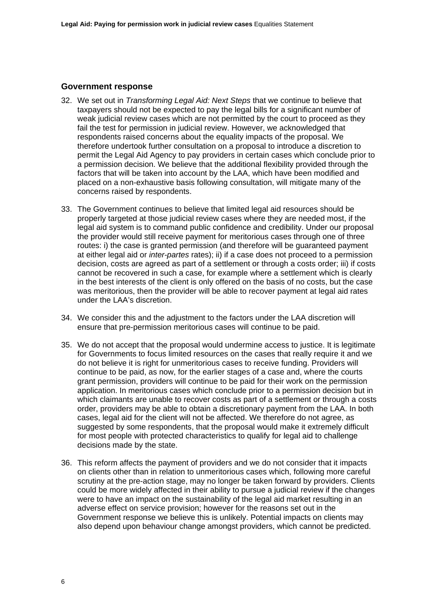#### **Government response**

- 32. We set out in *Transforming Legal Aid: Next Steps* that we continue to believe that taxpayers should not be expected to pay the legal bills for a significant number of weak judicial review cases which are not permitted by the court to proceed as they fail the test for permission in judicial review. However, we acknowledged that respondents raised concerns about the equality impacts of the proposal. We therefore undertook further consultation on a proposal to introduce a discretion to permit the Legal Aid Agency to pay providers in certain cases which conclude prior to a permission decision. We believe that the additional flexibility provided through the factors that will be taken into account by the LAA, which have been modified and placed on a non-exhaustive basis following consultation, will mitigate many of the concerns raised by respondents.
- 33. The Government continues to believe that limited legal aid resources should be properly targeted at those judicial review cases where they are needed most, if the legal aid system is to command public confidence and credibility. Under our proposal the provider would still receive payment for meritorious cases through one of three routes: i) the case is granted permission (and therefore will be guaranteed payment at either legal aid or *inter-partes* rates); ii) if a case does not proceed to a permission decision, costs are agreed as part of a settlement or through a costs order; iii) if costs cannot be recovered in such a case, for example where a settlement which is clearly in the best interests of the client is only offered on the basis of no costs, but the case was meritorious, then the provider will be able to recover payment at legal aid rates under the LAA's discretion.
- 34. We consider this and the adjustment to the factors under the LAA discretion will ensure that pre-permission meritorious cases will continue to be paid.
- 35. We do not accept that the proposal would undermine access to justice. It is legitimate for Governments to focus limited resources on the cases that really require it and we do not believe it is right for unmeritorious cases to receive funding. Providers will continue to be paid, as now, for the earlier stages of a case and, where the courts grant permission, providers will continue to be paid for their work on the permission application. In meritorious cases which conclude prior to a permission decision but in which claimants are unable to recover costs as part of a settlement or through a costs order, providers may be able to obtain a discretionary payment from the LAA. In both cases, legal aid for the client will not be affected. We therefore do not agree, as suggested by some respondents, that the proposal would make it extremely difficult for most people with protected characteristics to qualify for legal aid to challenge decisions made by the state.
- 36. This reform affects the payment of providers and we do not consider that it impacts on clients other than in relation to unmeritorious cases which, following more careful scrutiny at the pre-action stage, may no longer be taken forward by providers. Clients could be more widely affected in their ability to pursue a judicial review if the changes were to have an impact on the sustainability of the legal aid market resulting in an adverse effect on service provision; however for the reasons set out in the Government response we believe this is unlikely. Potential impacts on clients may also depend upon behaviour change amongst providers, which cannot be predicted.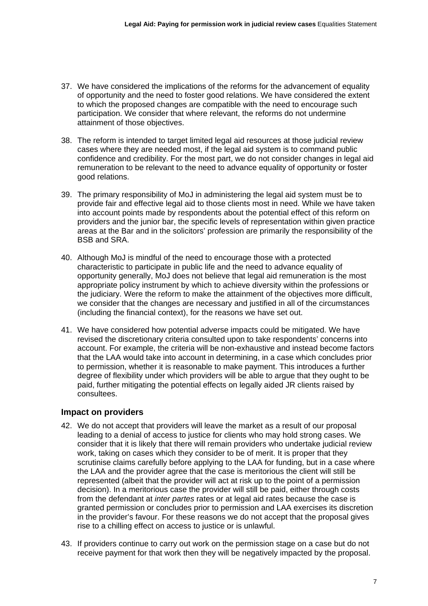- 37. We have considered the implications of the reforms for the advancement of equality of opportunity and the need to foster good relations. We have considered the extent to which the proposed changes are compatible with the need to encourage such participation. We consider that where relevant, the reforms do not undermine attainment of those objectives.
- 38. The reform is intended to target limited legal aid resources at those judicial review cases where they are needed most, if the legal aid system is to command public confidence and credibility. For the most part, we do not consider changes in legal aid remuneration to be relevant to the need to advance equality of opportunity or foster good relations.
- 39. The primary responsibility of MoJ in administering the legal aid system must be to provide fair and effective legal aid to those clients most in need. While we have taken into account points made by respondents about the potential effect of this reform on providers and the junior bar, the specific levels of representation within given practice areas at the Bar and in the solicitors' profession are primarily the responsibility of the BSB and SRA.
- 40. Although MoJ is mindful of the need to encourage those with a protected characteristic to participate in public life and the need to advance equality of opportunity generally, MoJ does not believe that legal aid remuneration is the most appropriate policy instrument by which to achieve diversity within the professions or the judiciary. Were the reform to make the attainment of the objectives more difficult, we consider that the changes are necessary and justified in all of the circumstances (including the financial context), for the reasons we have set out.
- 41. We have considered how potential adverse impacts could be mitigated. We have revised the discretionary criteria consulted upon to take respondents' concerns into account. For example, the criteria will be non-exhaustive and instead become factors that the LAA would take into account in determining, in a case which concludes prior to permission, whether it is reasonable to make payment. This introduces a further degree of flexibility under which providers will be able to argue that they ought to be paid, further mitigating the potential effects on legally aided JR clients raised by consultees.

## **Impact on providers**

- 42. We do not accept that providers will leave the market as a result of our proposal leading to a denial of access to justice for clients who may hold strong cases. We consider that it is likely that there will remain providers who undertake judicial review work, taking on cases which they consider to be of merit. It is proper that they scrutinise claims carefully before applying to the LAA for funding, but in a case where the LAA and the provider agree that the case is meritorious the client will still be represented (albeit that the provider will act at risk up to the point of a permission decision). In a meritorious case the provider will still be paid, either through costs from the defendant at *inter partes* rates or at legal aid rates because the case is granted permission or concludes prior to permission and LAA exercises its discretion in the provider's favour. For these reasons we do not accept that the proposal gives rise to a chilling effect on access to justice or is unlawful.
- 43. If providers continue to carry out work on the permission stage on a case but do not receive payment for that work then they will be negatively impacted by the proposal.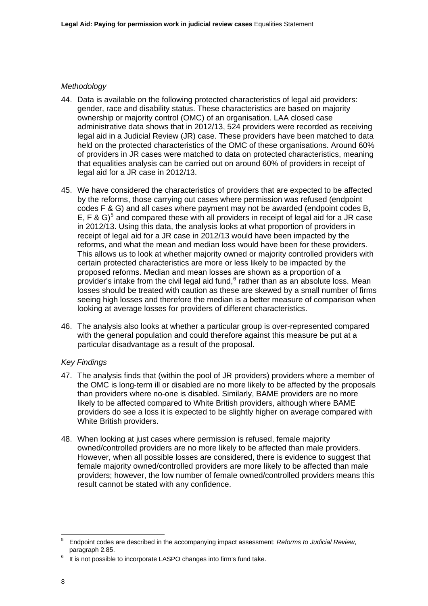## *Methodology*

- 44. Data is available on the following protected characteristics of legal aid providers: gender, race and disability status. These characteristics are based on majority ownership or majority control (OMC) of an organisation. LAA closed case administrative data shows that in 2012/13, 524 providers were recorded as receiving legal aid in a Judicial Review (JR) case. These providers have been matched to data held on the protected characteristics of the OMC of these organisations. Around 60% of providers in JR cases were matched to data on protected characteristics, meaning that equalities analysis can be carried out on around 60% of providers in receipt of legal aid for a JR case in 2012/13.
- 45. We have considered the characteristics of providers that are expected to be affected by the reforms, those carrying out cases where permission was refused (endpoint codes F & G) and all cases where payment may not be awarded (endpoint codes B, E, F & G)<sup>[5](#page-7-0)</sup> and compared these with all providers in receipt of legal aid for a JR case in 2012/13. Using this data, the analysis looks at what proportion of providers in receipt of legal aid for a JR case in 2012/13 would have been impacted by the reforms, and what the mean and median loss would have been for these providers. This allows us to look at whether majority owned or majority controlled providers with certain protected characteristics are more or less likely to be impacted by the proposed reforms. Median and mean losses are shown as a proportion of a provider's intake from the civil legal aid fund,  $6$  rather than as an absolute loss. Mean losses should be treated with caution as these are skewed by a small number of firms seeing high losses and therefore the median is a better measure of comparison when looking at average losses for providers of different characteristics.
- 46. The analysis also looks at whether a particular group is over-represented compared with the general population and could therefore against this measure be put at a particular disadvantage as a result of the proposal.

## *Key Findings*

- 47. The analysis finds that (within the pool of JR providers) providers where a member of the OMC is long-term ill or disabled are no more likely to be affected by the proposals than providers where no-one is disabled. Similarly, BAME providers are no more likely to be affected compared to White British providers, although where BAME providers do see a loss it is expected to be slightly higher on average compared with White British providers.
- 48. When looking at just cases where permission is refused, female majority owned/controlled providers are no more likely to be affected than male providers. However, when all possible losses are considered, there is evidence to suggest that female majority owned/controlled providers are more likely to be affected than male providers; however, the low number of female owned/controlled providers means this result cannot be stated with any confidence.

<span id="page-7-0"></span><sup>–&</sup>lt;br>5 Endpoint codes are described in the accompanying impact assessment: *Reforms to Judicial Review*, paragraph 2.85.

<span id="page-7-1"></span>It is not possible to incorporate LASPO changes into firm's fund take.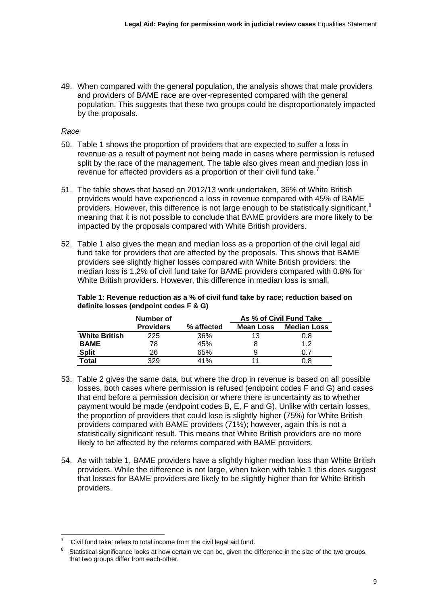49. When compared with the general population, the analysis shows that male providers and providers of BAME race are over-represented compared with the general population. This suggests that these two groups could be disproportionately impacted by the proposals.

## *Race*

- 50. Table 1 shows the proportion of providers that are expected to suffer a loss in revenue as a result of payment not being made in cases where permission is refused split by the race of the management. The table also gives mean and median loss in revenue for affected providers as a proportion of their civil fund take.<sup>[7](#page-8-0)</sup>
- 51. The table shows that based on 2012/13 work undertaken, 36% of White British providers would have experienced a loss in revenue compared with 45% of BAME providers. However, this difference is not large enough to be statistically significant.<sup>[8](#page-8-1)</sup> meaning that it is not possible to conclude that BAME providers are more likely to be impacted by the proposals compared with White British providers.
- 52. Table 1 also gives the mean and median loss as a proportion of the civil legal aid fund take for providers that are affected by the proposals. This shows that BAME providers see slightly higher losses compared with White British providers: the median loss is 1.2% of civil fund take for BAME providers compared with 0.8% for White British providers. However, this difference in median loss is small.

**Table 1: Revenue reduction as a % of civil fund take by race; reduction based on definite losses (endpoint codes F & G)** 

|                      | Number of        |            | As % of Civil Fund Take |                    |
|----------------------|------------------|------------|-------------------------|--------------------|
|                      | <b>Providers</b> | % affected | <b>Mean Loss</b>        | <b>Median Loss</b> |
| <b>White British</b> | 225              | 36%        | 13                      | 0.8                |
| <b>BAME</b>          | 78               | 45%        | 8                       | 1.2                |
| <b>Split</b>         | 26               | 65%        | 9                       | 0 7                |
| <b>Total</b>         | 329              | 41%        | 11                      | 0.8                |

- 53. Table 2 gives the same data, but where the drop in revenue is based on all possible losses, both cases where permission is refused (endpoint codes F and G) and cases that end before a permission decision or where there is uncertainty as to whether payment would be made (endpoint codes B, E, F and G). Unlike with certain losses, the proportion of providers that could lose is slightly higher (75%) for White British providers compared with BAME providers (71%); however, again this is not a statistically significant result. This means that White British providers are no more likely to be affected by the reforms compared with BAME providers.
- 54. As with table 1, BAME providers have a slightly higher median loss than White British providers. While the difference is not large, when taken with table 1 this does suggest that losses for BAME providers are likely to be slightly higher than for White British providers.

<span id="page-8-0"></span><sup>1</sup> 7 'Civil fund take' refers to total income from the civil legal aid fund.

<span id="page-8-1"></span><sup>8</sup> Statistical significance looks at how certain we can be, given the difference in the size of the two groups, that two groups differ from each-other.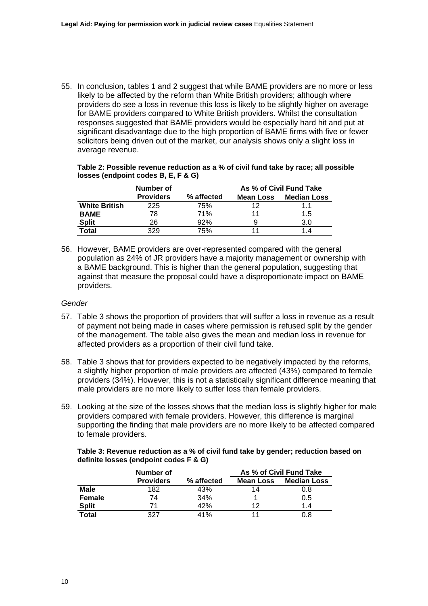55. In conclusion, tables 1 and 2 suggest that while BAME providers are no more or less likely to be affected by the reform than White British providers; although where providers do see a loss in revenue this loss is likely to be slightly higher on average for BAME providers compared to White British providers. Whilst the consultation responses suggested that BAME providers would be especially hard hit and put at significant disadvantage due to the high proportion of BAME firms with five or fewer solicitors being driven out of the market, our analysis shows only a slight loss in average revenue.

**Table 2: Possible revenue reduction as a % of civil fund take by race; all possible losses (endpoint codes B, E, F & G)** 

|                      | Number of        |            | As % of Civil Fund Take |                    |
|----------------------|------------------|------------|-------------------------|--------------------|
|                      | <b>Providers</b> | % affected | <b>Mean Loss</b>        | <b>Median Loss</b> |
| <b>White British</b> | 225              | 75%        | 12                      | 1.1                |
| <b>BAME</b>          | 78               | 71%        | 11                      | 1.5                |
| <b>Split</b>         | 26               | 92%        |                         | 3.0                |
| <b>Total</b>         | 329              | 75%        | 11                      | 14                 |

56. However, BAME providers are over-represented compared with the general population as 24% of JR providers have a majority management or ownership with a BAME background. This is higher than the general population, suggesting that against that measure the proposal could have a disproportionate impact on BAME providers.

#### *Gender*

- 57. Table 3 shows the proportion of providers that will suffer a loss in revenue as a result of payment not being made in cases where permission is refused split by the gender of the management. The table also gives the mean and median loss in revenue for affected providers as a proportion of their civil fund take.
- 58. Table 3 shows that for providers expected to be negatively impacted by the reforms, a slightly higher proportion of male providers are affected (43%) compared to female providers (34%). However, this is not a statistically significant difference meaning that male providers are no more likely to suffer loss than female providers.
- 59. Looking at the size of the losses shows that the median loss is slightly higher for male providers compared with female providers. However, this difference is marginal supporting the finding that male providers are no more likely to be affected compared to female providers.

**Table 3: Revenue reduction as a % of civil fund take by gender; reduction based on definite losses (endpoint codes F & G)** 

|               | Number of        |            | As % of Civil Fund Take |                    |
|---------------|------------------|------------|-------------------------|--------------------|
|               | <b>Providers</b> | % affected | <b>Mean Loss</b>        | <b>Median Loss</b> |
| Male          | 182              | 43%        | 14                      | 0.8                |
| <b>Female</b> | 74               | 34%        |                         | 0.5                |
| <b>Split</b>  | 71               | 42%        | 12                      | 14                 |
| Total         | 327              | 41%        | 11                      | 0.8                |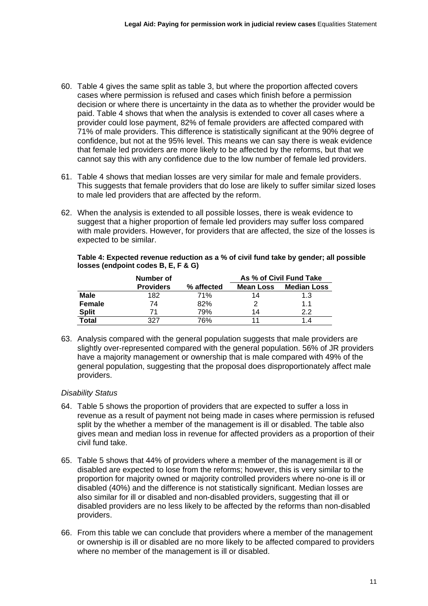- 60. Table 4 gives the same split as table 3, but where the proportion affected covers cases where permission is refused and cases which finish before a permission decision or where there is uncertainty in the data as to whether the provider would be paid. Table 4 shows that when the analysis is extended to cover all cases where a provider could lose payment, 82% of female providers are affected compared with 71% of male providers. This difference is statistically significant at the 90% degree of confidence, but not at the 95% level. This means we can say there is weak evidence that female led providers are more likely to be affected by the reforms, but that we cannot say this with any confidence due to the low number of female led providers.
- 61. Table 4 shows that median losses are very similar for male and female providers. This suggests that female providers that do lose are likely to suffer similar sized loses to male led providers that are affected by the reform.
- 62. When the analysis is extended to all possible losses, there is weak evidence to suggest that a higher proportion of female led providers may suffer loss compared with male providers. However, for providers that are affected, the size of the losses is expected to be similar.

|               | Number of        |            | As % of Civil Fund Take |                    |
|---------------|------------------|------------|-------------------------|--------------------|
|               | <b>Providers</b> | % affected | <b>Mean Loss</b>        | <b>Median Loss</b> |
| Male          | 182              | 71%        | 14                      | 1.3                |
| <b>Female</b> | 74               | 82%        |                         | 1.1                |
| <b>Split</b>  | 71               | 79%        | 14                      | 2.2                |
| Total         | 327              | 76%        | 11                      | 1.4                |

**Table 4: Expected revenue reduction as a % of civil fund take by gender; all possible losses (endpoint codes B, E, F & G)** 

63. Analysis compared with the general population suggests that male providers are slightly over-represented compared with the general population. 56% of JR providers have a majority management or ownership that is male compared with 49% of the general population, suggesting that the proposal does disproportionately affect male providers.

## *Disability Status*

- 64. Table 5 shows the proportion of providers that are expected to suffer a loss in revenue as a result of payment not being made in cases where permission is refused split by the whether a member of the management is ill or disabled. The table also gives mean and median loss in revenue for affected providers as a proportion of their civil fund take.
- 65. Table 5 shows that 44% of providers where a member of the management is ill or disabled are expected to lose from the reforms; however, this is very similar to the proportion for majority owned or majority controlled providers where no-one is ill or disabled (40%) and the difference is not statistically significant. Median losses are also similar for ill or disabled and non-disabled providers, suggesting that ill or disabled providers are no less likely to be affected by the reforms than non-disabled providers.
- 66. From this table we can conclude that providers where a member of the management or ownership is ill or disabled are no more likely to be affected compared to providers where no member of the management is ill or disabled.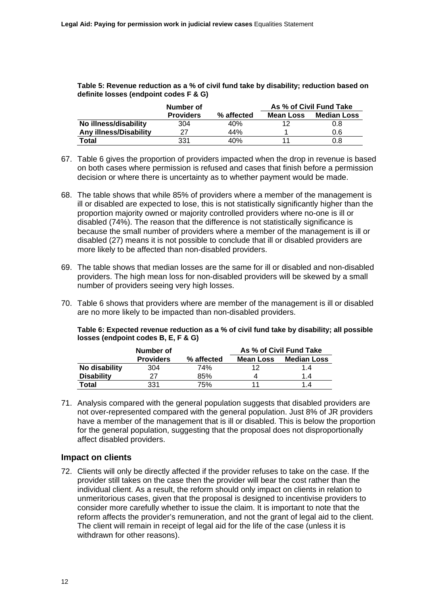**Table 5: Revenue reduction as a % of civil fund take by disability; reduction based on definite losses (endpoint codes F & G)** 

|                               | Number of        |            | As % of Civil Fund Take |                    |
|-------------------------------|------------------|------------|-------------------------|--------------------|
|                               | <b>Providers</b> | % affected | <b>Mean Loss</b>        | <b>Median Loss</b> |
| No illness/disability         | 304              | 40%        |                         | 0.8                |
| <b>Any illness/Disability</b> | 27               | 44%        |                         | 0.6                |
| Total                         | 331              | 40%        |                         | 0.8                |

- 67. Table 6 gives the proportion of providers impacted when the drop in revenue is based on both cases where permission is refused and cases that finish before a permission decision or where there is uncertainty as to whether payment would be made.
- 68. The table shows that while 85% of providers where a member of the management is ill or disabled are expected to lose, this is not statistically significantly higher than the proportion majority owned or majority controlled providers where no-one is ill or disabled (74%). The reason that the difference is not statistically significance is because the small number of providers where a member of the management is ill or disabled (27) means it is not possible to conclude that ill or disabled providers are more likely to be affected than non-disabled providers.
- 69. The table shows that median losses are the same for ill or disabled and non-disabled providers. The high mean loss for non-disabled providers will be skewed by a small number of providers seeing very high losses.
- 70. Table 6 shows that providers where are member of the management is ill or disabled are no more likely to be impacted than non-disabled providers.

| losses (endpoint codes B, E, F & G) | Table 6: Expected revenue reduction as a % of civil fund take by disability; all possible               |  |
|-------------------------------------|---------------------------------------------------------------------------------------------------------|--|
| .                                   | $\bullet$ - $\bullet$ - $\bullet$ $\bullet$ - $\bullet$ - $\bullet$ - $\bullet$ - $\bullet$ - $\bullet$ |  |

|                   | Number of        |            | As % of Civil Fund Take |                    |
|-------------------|------------------|------------|-------------------------|--------------------|
|                   | <b>Providers</b> | % affected | Mean Loss               | <b>Median Loss</b> |
| No disability     | 304              | 74%        | 12                      | 1.4                |
| <b>Disability</b> | 27               | 85%        |                         | 1.4                |
| Total             | 331              | 75%        | 11                      | 1.4                |

71. Analysis compared with the general population suggests that disabled providers are not over-represented compared with the general population. Just 8% of JR providers have a member of the management that is ill or disabled. This is below the proportion for the general population, suggesting that the proposal does not disproportionally affect disabled providers.

## **Impact on clients**

72. Clients will only be directly affected if the provider refuses to take on the case. If the provider still takes on the case then the provider will bear the cost rather than the individual client. As a result, the reform should only impact on clients in relation to unmeritorious cases, given that the proposal is designed to incentivise providers to consider more carefully whether to issue the claim. It is important to note that the reform affects the provider's remuneration, and not the grant of legal aid to the client. The client will remain in receipt of legal aid for the life of the case (unless it is withdrawn for other reasons).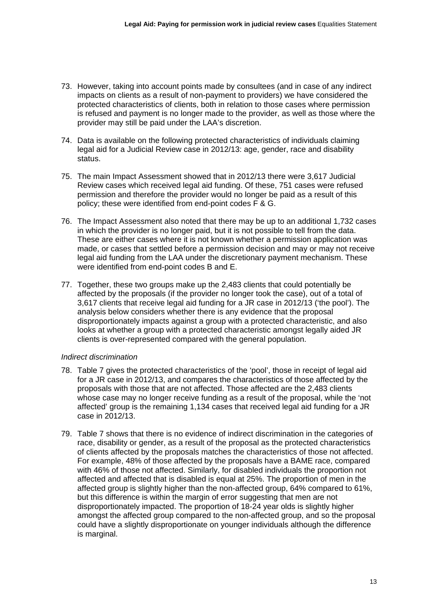- 73. However, taking into account points made by consultees (and in case of any indirect impacts on clients as a result of non-payment to providers) we have considered the protected characteristics of clients, both in relation to those cases where permission is refused and payment is no longer made to the provider, as well as those where the provider may still be paid under the LAA's discretion.
- 74. Data is available on the following protected characteristics of individuals claiming legal aid for a Judicial Review case in 2012/13: age, gender, race and disability status.
- 75. The main Impact Assessment showed that in 2012/13 there were 3,617 Judicial Review cases which received legal aid funding. Of these, 751 cases were refused permission and therefore the provider would no longer be paid as a result of this policy; these were identified from end-point codes F & G.
- 76. The Impact Assessment also noted that there may be up to an additional 1,732 cases in which the provider is no longer paid, but it is not possible to tell from the data. These are either cases where it is not known whether a permission application was made, or cases that settled before a permission decision and may or may not receive legal aid funding from the LAA under the discretionary payment mechanism. These were identified from end-point codes B and E.
- 77. Together, these two groups make up the 2,483 clients that could potentially be affected by the proposals (if the provider no longer took the case), out of a total of 3,617 clients that receive legal aid funding for a JR case in 2012/13 ('the pool'). The analysis below considers whether there is any evidence that the proposal disproportionately impacts against a group with a protected characteristic, and also looks at whether a group with a protected characteristic amongst legally aided JR clients is over-represented compared with the general population.

## *Indirect discrimination*

- 78. Table 7 gives the protected characteristics of the 'pool', those in receipt of legal aid for a JR case in 2012/13, and compares the characteristics of those affected by the proposals with those that are not affected. Those affected are the 2,483 clients whose case may no longer receive funding as a result of the proposal, while the 'not affected' group is the remaining 1,134 cases that received legal aid funding for a JR case in 2012/13.
- 79. Table 7 shows that there is no evidence of indirect discrimination in the categories of race, disability or gender, as a result of the proposal as the protected characteristics of clients affected by the proposals matches the characteristics of those not affected. For example, 48% of those affected by the proposals have a BAME race, compared with 46% of those not affected. Similarly, for disabled individuals the proportion not affected and affected that is disabled is equal at 25%. The proportion of men in the affected group is slightly higher than the non-affected group, 64% compared to 61%, but this difference is within the margin of error suggesting that men are not disproportionately impacted. The proportion of 18-24 year olds is slightly higher amongst the affected group compared to the non-affected group, and so the proposal could have a slightly disproportionate on younger individuals although the difference is marginal.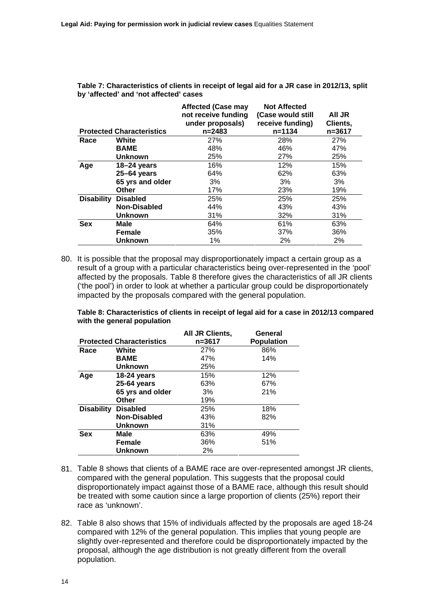**Table 7: Characteristics of clients in receipt of legal aid for a JR case in 2012/13, split by 'affected' and 'not affected' cases** 

|                   | <b>Protected Characteristics</b> | <b>Affected (Case may</b><br>not receive funding<br>under proposals)<br>$n = 2483$ | <b>Not Affected</b><br>(Case would still<br>receive funding)<br>$n = 1134$ | All JR<br>Clients,<br>n=3617 |
|-------------------|----------------------------------|------------------------------------------------------------------------------------|----------------------------------------------------------------------------|------------------------------|
| Race              | White                            | 27%                                                                                | 28%                                                                        | 27%                          |
|                   | <b>BAME</b>                      | 48%                                                                                | 46%                                                                        | 47%                          |
|                   | <b>Unknown</b>                   | 25%                                                                                | 27%                                                                        | 25%                          |
| Age               | 18-24 years                      | 16%                                                                                | 12%                                                                        | 15%                          |
|                   | $25 - 64$ years                  | 64%                                                                                | 62%                                                                        | 63%                          |
|                   | 65 yrs and older                 | 3%                                                                                 | 3%                                                                         | 3%                           |
|                   | <b>Other</b>                     | 17%                                                                                | 23%                                                                        | 19%                          |
| <b>Disability</b> | <b>Disabled</b>                  | 25%                                                                                | 25%                                                                        | 25%                          |
|                   | Non-Disabled                     | 44%                                                                                | 43%                                                                        | 43%                          |
|                   | <b>Unknown</b>                   | 31%                                                                                | 32%                                                                        | 31%                          |
| <b>Sex</b>        | Male                             | 64%                                                                                | 61%                                                                        | 63%                          |
|                   | Female                           | 35%                                                                                | 37%                                                                        | 36%                          |
|                   | <b>Unknown</b>                   | 1%                                                                                 | 2%                                                                         | 2%                           |

80. It is possible that the proposal may disproportionately impact a certain group as a result of a group with a particular characteristics being over-represented in the 'pool' affected by the proposals. Table 8 therefore gives the characteristics of all JR clients ('the pool') in order to look at whether a particular group could be disproportionately impacted by the proposals compared with the general population.

**Table 8: Characteristics of clients in receipt of legal aid for a case in 2012/13 compared with the general population** 

|                   |                                  | All JR Clients, | General           |
|-------------------|----------------------------------|-----------------|-------------------|
|                   | <b>Protected Characteristics</b> | n=3617          | <b>Population</b> |
| Race              | White                            | 27%             | 86%               |
|                   | <b>BAME</b>                      | 47%             | 14%               |
|                   | <b>Unknown</b>                   | 25%             |                   |
| Age               | 18-24 years                      | 15%             | 12%               |
|                   | 25-64 years                      | 63%             | 67%               |
|                   | 65 yrs and older                 | 3%              | 21%               |
|                   | Other                            | 19%             |                   |
| <b>Disability</b> | <b>Disabled</b>                  | 25%             | 18%               |
|                   | Non-Disabled                     | 43%             | 82%               |
|                   | <b>Unknown</b>                   | 31%             |                   |
| <b>Sex</b>        | Male                             | 63%             | 49%               |
|                   | <b>Female</b>                    | 36%             | 51%               |
|                   | <b>Unknown</b>                   | 2%              |                   |

- 81. Table 8 shows that clients of a BAME race are over-represented amongst JR clients, compared with the general population. This suggests that the proposal could disproportionately impact against those of a BAME race, although this result should be treated with some caution since a large proportion of clients (25%) report their race as 'unknown'.
- 82. Table 8 also shows that 15% of individuals affected by the proposals are aged 18-24 compared with 12% of the general population. This implies that young people are slightly over-represented and therefore could be disproportionately impacted by the proposal, although the age distribution is not greatly different from the overall population.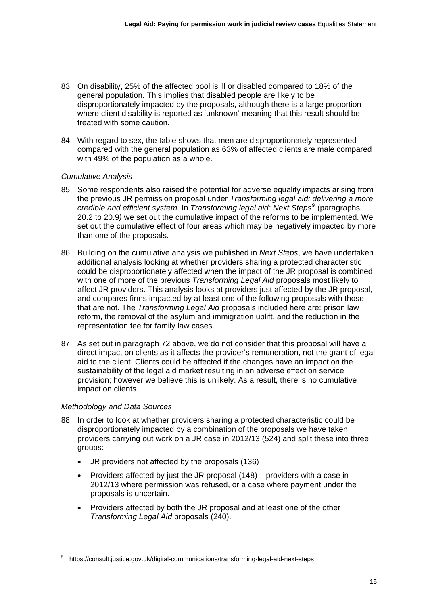- 83. On disability, 25% of the affected pool is ill or disabled compared to 18% of the general population. This implies that disabled people are likely to be disproportionately impacted by the proposals, although there is a large proportion where client disability is reported as 'unknown' meaning that this result should be treated with some caution.
- 84. With regard to sex, the table shows that men are disproportionately represented compared with the general population as 63% of affected clients are male compared with 49% of the population as a whole.

## *Cumulative Analysis*

- 85. Some respondents also raised the potential for adverse equality impacts arising from the previous JR permission proposal under *Transforming legal aid: delivering a more credible and efficient system.* In *Transforming legal aid: Next Steps*[9](#page-14-0) (paragraphs 20.2 to 20.9*)* we set out the cumulative impact of the reforms to be implemented. We set out the cumulative effect of four areas which may be negatively impacted by mo re than one of the proposals.
- 86. Building on the cumulative analysis we published in *Next Steps*, we have undertaken additional analysis looking at whether providers sharing a protected characteristic could be disproportionately affected when the impact of the JR proposal is combined with one of more of the previous *Transforming Legal Aid* proposals most likely to affect JR providers. This analysis looks at providers just affected by the JR proposal, and compares firms impacted by at least one of the following proposals with those that are not. The *Transforming Legal Aid* proposals included here are: prison law reform, the removal of the asylum and immigration uplift, and the reduction in the representation fee for family law cases.
- 87. As set out in paragraph 72 above, we do not consider that this proposal will have a direct impact on clients as it affects the provider's remuneration, not the grant of legal aid to the client. Clients could be affected if the changes have an impact on the sustainability of the legal aid market resulting in an adverse effect on service provision; however we believe this is unlikely. As a result, there is no cumulative impact on clients.

## *Methodology and Data Sources*

1

- 88. In order to look at whether providers sharing a protected characteristic could be disproportionately impacted by a combination of the proposals we have taken providers carrying out work on a JR case in 2012/13 (524) and split these into three groups:
	- JR providers not affected by the proposals (136)
	- Providers affected by just the JR proposal (148) providers with a case in 2012/13 where permission was refused, or a case where payment under the proposals is uncertain.
	- Providers affected by both the JR proposal and at least one of the other *Transforming Legal Aid* proposals (240).

<span id="page-14-0"></span><sup>9</sup> <https://consult.justice.gov.uk/digital-communications/transforming-legal-aid-next-steps>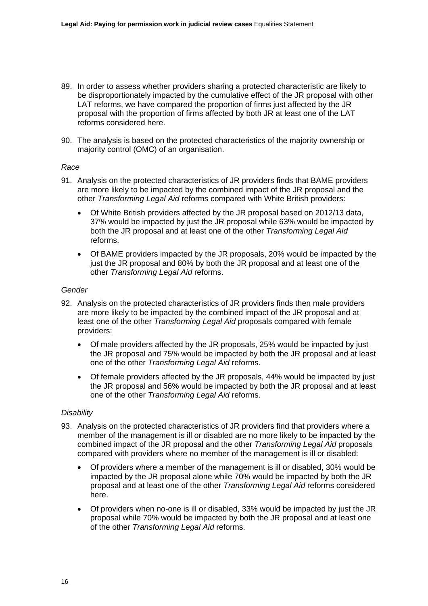- 89. In order to assess whether providers sharing a protected characteristic are likely to be disproportionately impacted by the cumulative effect of the JR proposal with other LAT reforms, we have compared the proportion of firms just affected by the JR proposal with the proportion of firms affected by both JR at least one of the LAT reforms considered here.
- 90. The analysis is based on the protected characteristics of the majority ownership or majority control (OMC) of an organisation.

#### *Race*

- 91. Analysis on the protected characteristics of JR providers finds that BAME providers are more likely to be impacted by the combined impact of the JR proposal and the other *Transforming Legal Aid* reforms compared with White British providers:
	- Of White British providers affected by the JR proposal based on 2012/13 data, 37% would be impacted by just the JR proposal while 63% would be impacted by both the JR proposal and at least one of the other *Transforming Legal Aid* reforms.
	- Of BAME providers impacted by the JR proposals, 20% would be impacted by the just the JR proposal and 80% by both the JR proposal and at least one of the other *Transforming Legal Aid* reforms.

#### *Gender*

- 92. Analysis on the protected characteristics of JR providers finds then male providers are more likely to be impacted by the combined impact of the JR proposal and at least one of the other *Transforming Legal Aid* proposals compared with female providers:
	- Of male providers affected by the JR proposals, 25% would be impacted by just the JR proposal and 75% would be impacted by both the JR proposal and at least one of the other *Transforming Legal Aid* reforms.
	- Of female providers affected by the JR proposals, 44% would be impacted by just the JR proposal and 56% would be impacted by both the JR proposal and at least one of the other *Transforming Legal Aid* reforms.

## *Disability*

- 93. Analysis on the protected characteristics of JR providers find that providers where a member of the management is ill or disabled are no more likely to be impacted by the combined impact of the JR proposal and the other *Transforming Legal Aid* proposals compared with providers where no member of the management is ill or disabled:
	- Of providers where a member of the management is ill or disabled, 30% would be impacted by the JR proposal alone while 70% would be impacted by both the JR proposal and at least one of the other *Transforming Legal Aid* reforms considered here.
	- Of providers when no-one is ill or disabled, 33% would be impacted by just the JR proposal while 70% would be impacted by both the JR proposal and at least one of the other *Transforming Legal Aid* reforms.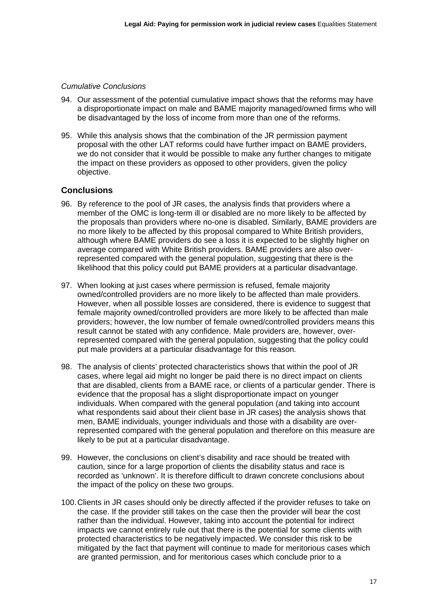#### *Cumulative Conclusions*

- 94. Our assessment of the potential cumulative impact shows that the reforms may have a disproportionate impact on male and BAME majority managed/owned firms who will be disadvantaged by the loss of income from more than one of the reforms.
- 95. While this analysis shows that the combination of the JR permission payment proposal with the other LAT reforms could have further impact on BAME providers, we do not consider that it would be possible to make any further changes to mitigate the impact on these providers as opposed to other providers, given the policy objective.

## **Conclusions**

- 96. By reference to the pool of JR cases, the analysis finds that providers where a member of the OMC is long-term ill or disabled are no more likely to be affected by the proposals than providers where no-one is disabled. Similarly, BAME providers are no more likely to be affected by this proposal compared to White British providers, although where BAME providers do see a loss it is expected to be slightly higher on average compared with White British providers. BAME providers are also overrepresented compared with the general population, suggesting that there is the likelihood that this policy could put BAME providers at a particular disadvantage.
- 97. When looking at just cases where permission is refused, female majority owned/controlled providers are no more likely to be affected than male providers. However, when all possible losses are considered, there is evidence to suggest that female majority owned/controlled providers are more likely to be affected than male providers; however, the low number of female owned/controlled providers means this result cannot be stated with any confidence. Male providers are, however, overrepresented compared with the general population, suggesting that the policy could put male providers at a particular disadvantage for this reason.
- 98. The analysis of clients' protected characteristics shows that within the pool of JR cases, where legal aid might no longer be paid there is no direct impact on clients that are disabled, clients from a BAME race, or clients of a particular gender. There is evidence that the proposal has a slight disproportionate impact on younger individuals. When compared with the general population (and taking into account what respondents said about their client base in JR cases) the analysis shows that men, BAME individuals, younger individuals and those with a disability are overrepresented compared with the general population and therefore on this measure are likely to be put at a particular disadvantage.
- 99. However, the conclusions on client's disability and race should be treated with caution, since for a large proportion of clients the disability status and race is recorded as 'unknown'. It is therefore difficult to drawn concrete conclusions about the impact of the policy on these two groups.
- 100. Clients in JR cases should only be directly affected if the provider refuses to take on the case. If the provider still takes on the case then the provider will bear the cost rather than the individual. However, taking into account the potential for indirect impacts we cannot entirely rule out that there is the potential for some clients with protected characteristics to be negatively impacted. We consider this risk to be mitigated by the fact that payment will continue to made for meritorious cases which are granted permission, and for meritorious cases which conclude prior to a